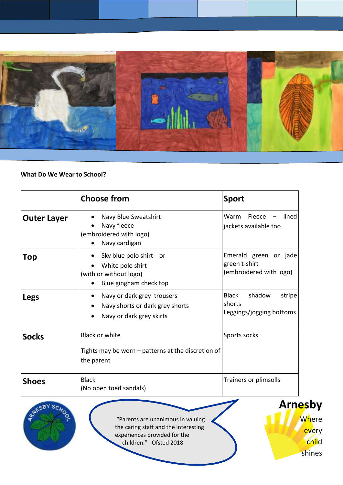

## **What Do We Wear to School?**

|                    | <b>Choose from</b>                                                                                                  | <b>Sport</b>                                                      |
|--------------------|---------------------------------------------------------------------------------------------------------------------|-------------------------------------------------------------------|
| <b>Outer Layer</b> | Navy Blue Sweatshirt<br>Navy fleece<br>(embroidered with logo)<br>Navy cardigan                                     | Fleece<br>Warm<br>lined<br>jackets available too                  |
| <b>Top</b>         | Sky blue polo shirt or<br>White polo shirt<br>(with or without logo)<br>Blue gingham check top                      | Emerald green or jade<br>green t-shirt<br>(embroidered with logo) |
| Legs               | Navy or dark grey trousers<br>$\bullet$<br>Navy shorts or dark grey shorts<br>$\bullet$<br>Navy or dark grey skirts | Black<br>shadow<br>stripe<br>shorts<br>Leggings/jogging bottoms   |
| <b>Socks</b>       | <b>Black or white</b><br>Tights may be worn – patterns at the discretion of<br>the parent                           | Sports socks                                                      |
| <b>Shoes</b>       | <b>Black</b><br>(No open toed sandals)                                                                              | Trainers or plimsolls                                             |



"Parents are unanimous in valuing the caring staff and the interesting experiences provided for the children." Ofsted 2018

**Arnesby Where** every child shines